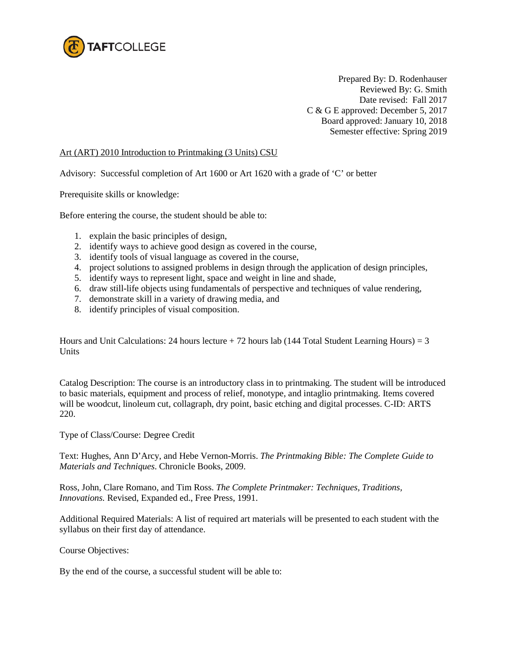

Prepared By: D. Rodenhauser Reviewed By: G. Smith Date revised: Fall 2017 C & G E approved: December 5, 2017 Board approved: January 10, 2018 Semester effective: Spring 2019

## Art (ART) 2010 Introduction to Printmaking (3 Units) CSU

Advisory: Successful completion of Art 1600 or Art 1620 with a grade of 'C' or better

Prerequisite skills or knowledge:

Before entering the course, the student should be able to:

- 1. explain the basic principles of design,
- 2. identify ways to achieve good design as covered in the course,
- 3. identify tools of visual language as covered in the course,
- 4. project solutions to assigned problems in design through the application of design principles,
- 5. identify ways to represent light, space and weight in line and shade,
- 6. draw still-life objects using fundamentals of perspective and techniques of value rendering,
- 7. demonstrate skill in a variety of drawing media, and
- 8. identify principles of visual composition.

Hours and Unit Calculations: 24 hours lecture  $+ 72$  hours lab (144 Total Student Learning Hours) = 3 Units

Catalog Description: The course is an introductory class in to printmaking. The student will be introduced to basic materials, equipment and process of relief, monotype, and intaglio printmaking. Items covered will be woodcut, linoleum cut, collagraph, dry point, basic etching and digital processes. C-ID: ARTS 220.

Type of Class/Course: Degree Credit

Text: Hughes, Ann D'Arcy, and Hebe Vernon-Morris. *The Printmaking Bible: The Complete Guide to Materials and Techniques*. Chronicle Books, 2009.

Ross, John, Clare Romano, and Tim Ross. *The Complete Printmaker: Techniques, Traditions, Innovations.* Revised, Expanded ed., Free Press, 1991.

Additional Required Materials: A list of required art materials will be presented to each student with the syllabus on their first day of attendance.

Course Objectives:

By the end of the course, a successful student will be able to: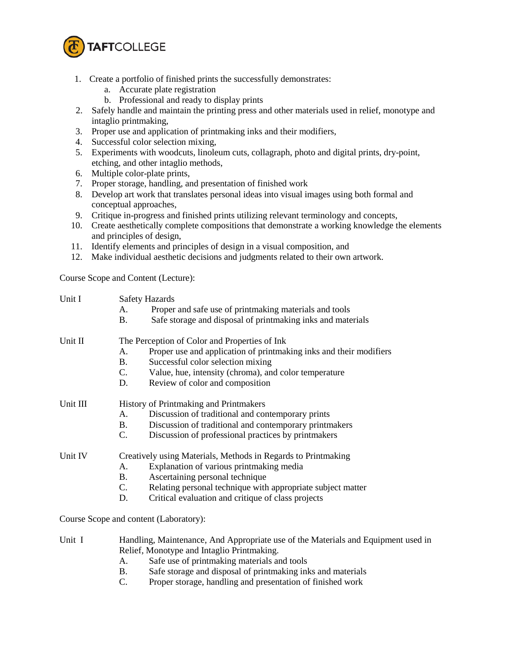

- 1. Create a portfolio of finished prints the successfully demonstrates:
	- a. Accurate plate registration
	- b. Professional and ready to display prints
- 2. Safely handle and maintain the printing press and other materials used in relief, monotype and intaglio printmaking,
- 3. Proper use and application of printmaking inks and their modifiers,
- 4. Successful color selection mixing,
- 5. Experiments with woodcuts, linoleum cuts, collagraph, photo and digital prints, dry-point, etching, and other intaglio methods,
- 6. Multiple color-plate prints,
- 7. Proper storage, handling, and presentation of finished work
- 8. Develop art work that translates personal ideas into visual images using both formal and conceptual approaches,
- 9. Critique in-progress and finished prints utilizing relevant terminology and concepts,
- 10. Create aesthetically complete compositions that demonstrate a working knowledge the elements and principles of design,
- 11. Identify elements and principles of design in a visual composition, and
- 12. Make individual aesthetic decisions and judgments related to their own artwork.

Course Scope and Content (Lecture):

| Unit I   | <b>Safety Hazards</b>                                         |                                                                    |  |  |
|----------|---------------------------------------------------------------|--------------------------------------------------------------------|--|--|
|          | А.                                                            | Proper and safe use of printmaking materials and tools             |  |  |
|          | В.                                                            | Safe storage and disposal of printmaking inks and materials        |  |  |
| Unit II  | The Perception of Color and Properties of Ink                 |                                                                    |  |  |
|          | А.                                                            | Proper use and application of printmaking inks and their modifiers |  |  |
|          | <b>B.</b>                                                     | Successful color selection mixing                                  |  |  |
|          | C.                                                            | Value, hue, intensity (chroma), and color temperature              |  |  |
|          | D.                                                            | Review of color and composition                                    |  |  |
| Unit III | History of Printmaking and Printmakers                        |                                                                    |  |  |
|          | А.                                                            | Discussion of traditional and contemporary prints                  |  |  |
|          | B.                                                            | Discussion of traditional and contemporary printmakers             |  |  |
|          | $C_{\cdot}$                                                   | Discussion of professional practices by printmakers                |  |  |
| Unit IV  | Creatively using Materials, Methods in Regards to Printmaking |                                                                    |  |  |
|          | А.                                                            | Explanation of various printmaking media                           |  |  |
|          | B.                                                            | Ascertaining personal technique                                    |  |  |
|          | C.                                                            | Relating personal technique with appropriate subject matter        |  |  |
|          | D.                                                            | Critical evaluation and critique of class projects                 |  |  |
|          |                                                               |                                                                    |  |  |

Course Scope and content (Laboratory):

- Unit I Handling, Maintenance, And Appropriate use of the Materials and Equipment used in Relief, Monotype and Intaglio Printmaking.
	- A. Safe use of printmaking materials and tools
	- B. Safe storage and disposal of printmaking inks and materials
	- C. Proper storage, handling and presentation of finished work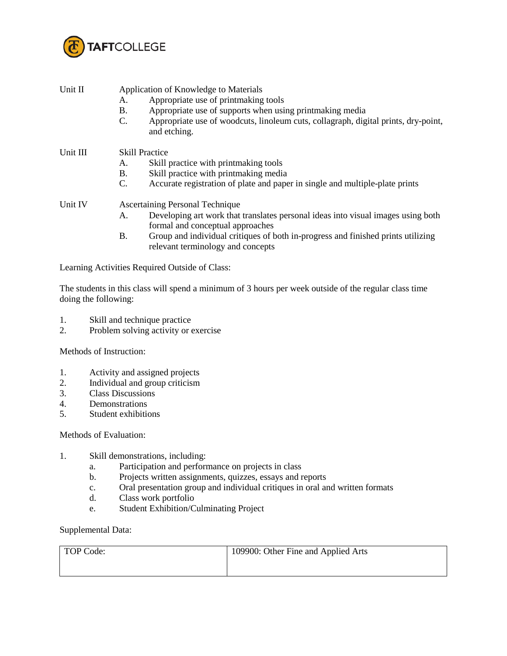

| Unit II  | Application of Knowledge to Materials  |                                                                                                                       |  |  |
|----------|----------------------------------------|-----------------------------------------------------------------------------------------------------------------------|--|--|
|          | A.                                     | Appropriate use of printmaking tools                                                                                  |  |  |
|          | <b>B.</b>                              | Appropriate use of supports when using printmaking media                                                              |  |  |
|          | C.                                     | Appropriate use of woodcuts, linoleum cuts, collagraph, digital prints, dry-point,<br>and etching.                    |  |  |
| Unit III | <b>Skill Practice</b>                  |                                                                                                                       |  |  |
|          | A.                                     | Skill practice with printmaking tools                                                                                 |  |  |
|          | <b>B.</b>                              | Skill practice with printmaking media                                                                                 |  |  |
|          | $C_{\cdot}$                            | Accurate registration of plate and paper in single and multiple-plate prints                                          |  |  |
| Unit IV  | <b>Ascertaining Personal Technique</b> |                                                                                                                       |  |  |
|          | А.                                     | Developing art work that translates personal ideas into visual images using both<br>formal and conceptual approaches  |  |  |
|          | В.                                     | Group and individual critiques of both in-progress and finished prints utilizing<br>relevant terminology and concepts |  |  |

The students in this class will spend a minimum of 3 hours per week outside of the regular class time doing the following:

- 1. Skill and technique practice
- 2. Problem solving activity or exercise

Methods of Instruction:

- 1. Activity and assigned projects<br>2. Individual and group criticism
- 2. Individual and group criticism<br>3. Class Discussions
- Class Discussions
- 4. Demonstrations
- 5. Student exhibitions

Methods of Evaluation:

- 1. Skill demonstrations, including:
	- a. Participation and performance on projects in class
	- b. Projects written assignments, quizzes, essays and reports
	- c. Oral presentation group and individual critiques in oral and written formats
	- d. Class work portfolio
	- e. Student Exhibition/Culminating Project

Supplemental Data:

| TOP Code: | 109900: Other Fine and Applied Arts |
|-----------|-------------------------------------|
|           |                                     |